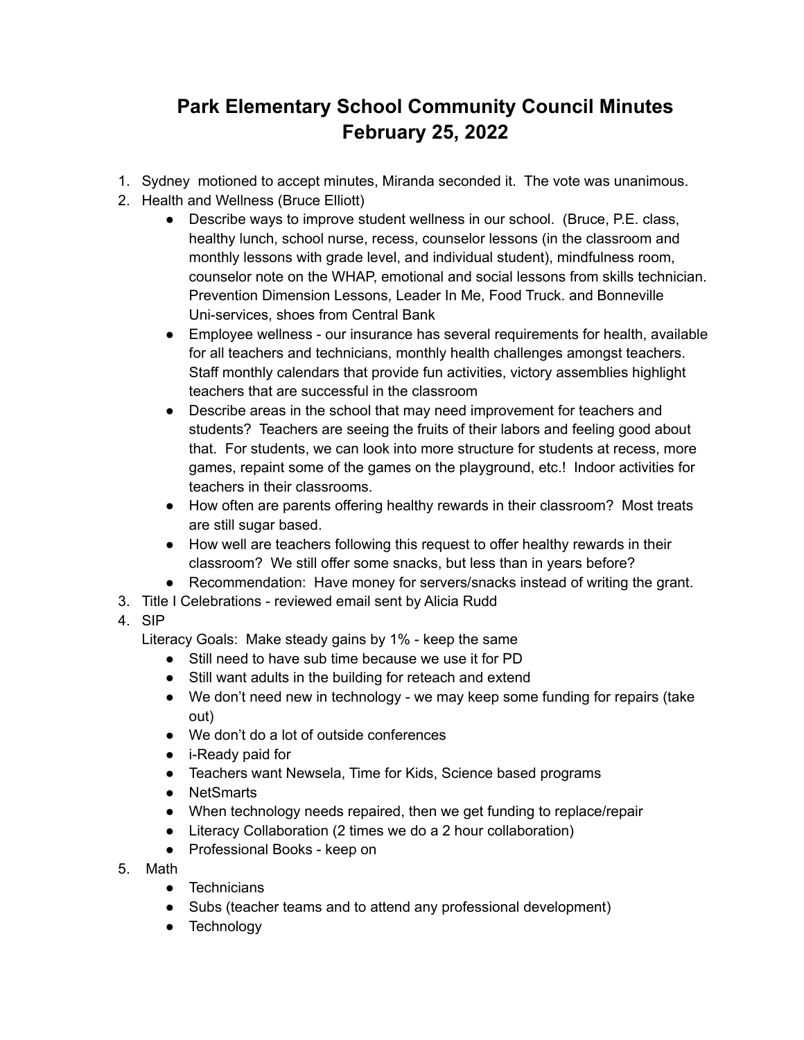## **Park Elementary School Community Council Minutes February 25, 2022**

- 1. Sydney motioned to accept minutes, Miranda seconded it. The vote was unanimous.
- 2. Health and Wellness (Bruce Elliott)
	- Describe ways to improve student wellness in our school. (Bruce, P.E. class, healthy lunch, school nurse, recess, counselor lessons (in the classroom and monthly lessons with grade level, and individual student), mindfulness room, counselor note on the WHAP, emotional and social lessons from skills technician. Prevention Dimension Lessons, Leader In Me, Food Truck. and Bonneville Uni-services, shoes from Central Bank
	- Employee wellness our insurance has several requirements for health, available for all teachers and technicians, monthly health challenges amongst teachers. Staff monthly calendars that provide fun activities, victory assemblies highlight teachers that are successful in the classroom
	- Describe areas in the school that may need improvement for teachers and students? Teachers are seeing the fruits of their labors and feeling good about that. For students, we can look into more structure for students at recess, more games, repaint some of the games on the playground, etc.! Indoor activities for teachers in their classrooms.
	- How often are parents offering healthy rewards in their classroom? Most treats are still sugar based.
	- How well are teachers following this request to offer healthy rewards in their classroom? We still offer some snacks, but less than in years before?
	- Recommendation: Have money for servers/snacks instead of writing the grant.
- 3. Title I Celebrations reviewed email sent by Alicia Rudd
- 4. SIP

Literacy Goals: Make steady gains by 1% - keep the same

- Still need to have sub time because we use it for PD
- Still want adults in the building for reteach and extend
- We don't need new in technology we may keep some funding for repairs (take out)
- We don't do a lot of outside conferences
- i-Ready paid for
- Teachers want Newsela, Time for Kids, Science based programs
- NetSmarts
- When technology needs repaired, then we get funding to replace/repair
- Literacy Collaboration (2 times we do a 2 hour collaboration)
- Professional Books keep on
- 5. Math
	- Technicians
	- Subs (teacher teams and to attend any professional development)
	- Technology